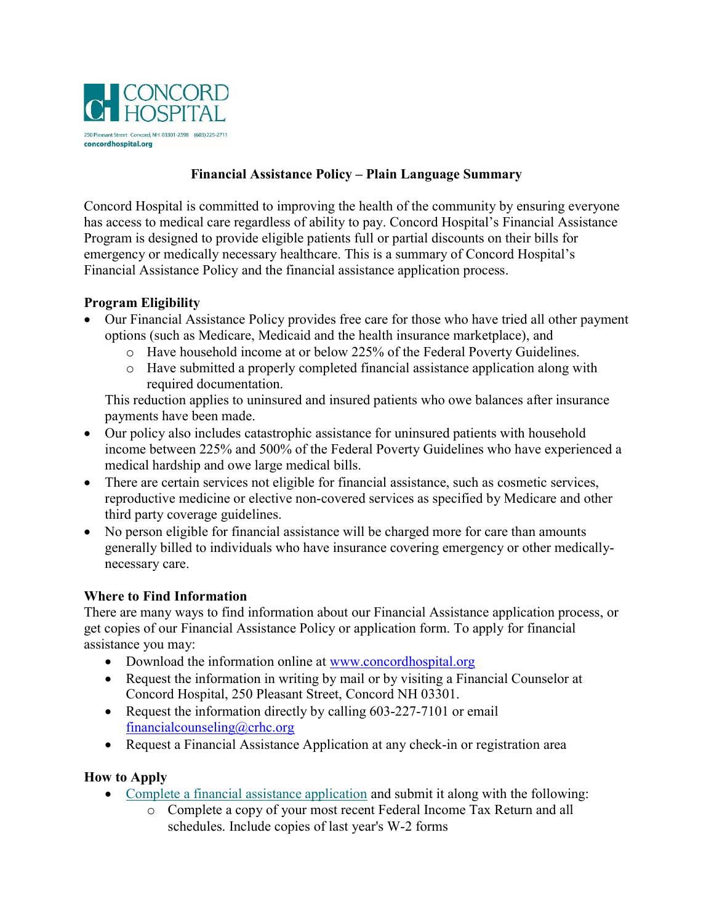

# Financial Assistance Policy – Plain Language Summary

Concord Hospital is committed to improving the health of the community by ensuring everyone has access to medical care regardless of ability to pay. Concord Hospital's Financial Assistance Program is designed to provide eligible patients full or partial discounts on their bills for emergency or medically necessary healthcare. This is a summary of Concord Hospital's Financial Assistance Policy and the financial assistance application process.

## Program Eligibility

- Our Financial Assistance Policy provides free care for those who have tried all other payment options (such as Medicare, Medicaid and the health insurance marketplace), and
	- o Have household income at or below 225% of the Federal Poverty Guidelines.
	- o Have submitted a properly completed financial assistance application along with required documentation.

This reduction applies to uninsured and insured patients who owe balances after insurance payments have been made.

- Our policy also includes catastrophic assistance for uninsured patients with household income between 225% and 500% of the Federal Poverty Guidelines who have experienced a medical hardship and owe large medical bills.
- There are certain services not eligible for financial assistance, such as cosmetic services, reproductive medicine or elective non-covered services as specified by Medicare and other third party coverage guidelines.
- No person eligible for financial assistance will be charged more for care than amounts generally billed to individuals who have insurance covering emergency or other medicallynecessary care.

#### Where to Find Information

There are many ways to find information about our Financial Assistance application process, or get copies of our Financial Assistance Policy or application form. To apply for financial assistance you may:

- Download the information online at www.concordhospital.org
- Request the information in writing by mail or by visiting a Financial Counselor at Concord Hospital, 250 Pleasant Street, Concord NH 03301.
- Request the information directly by calling 603-227-7101 or email financialcounseling@crhc.org
- Request a Financial Assistance Application at any check-in or registration area

## How to Apply

- Complete a financial assistance application and submit it along with the following:
	- o Complete a copy of your most recent Federal Income Tax Return and all schedules. Include copies of last year's W-2 forms